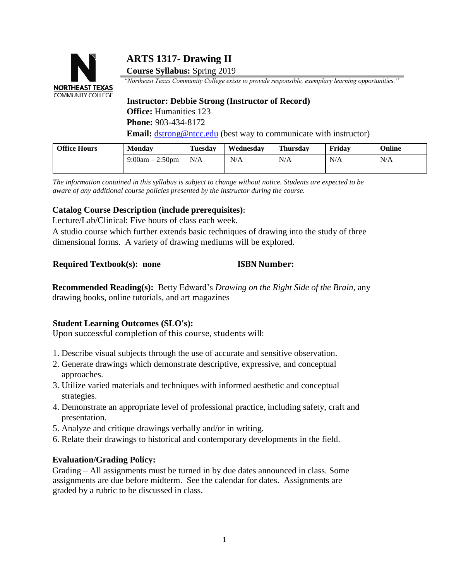# **COMMUNITY COLLEGE**

## **ARTS 1317- Drawing II**

**Course Syllabus:** Spring 2019

**NORTHEAST TEXAS** "Northeast Texas Community College exists to provide responsible, exemplary learning opportunities."

**Instructor: Debbie Strong (Instructor of Record) Office:** Humanities 123 **Phone:** 903-434-8172 **Email:** dstrong@ntcc.edu (best way to communicate with instructor)

| <b>Office Hours</b> | <b>Monday</b>     | <b>Tuesday</b> | Wednesday | <b>Thursday</b> | Fridav | Online |
|---------------------|-------------------|----------------|-----------|-----------------|--------|--------|
|                     | $9:00am - 2:50pm$ | N/A            | N/A       | N/A             | N/A    | N/A    |
|                     |                   |                |           |                 |        |        |

*The information contained in this syllabus is subject to change without notice. Students are expected to be aware of any additional course policies presented by the instructor during the course.*

#### **Catalog Course Description (include prerequisites):**

Lecture/Lab/Clinical: Five hours of class each week.

A studio course which further extends basic techniques of drawing into the study of three dimensional forms. A variety of drawing mediums will be explored.

#### **Required Textbook(s): none ISBN Number:**

**Recommended Reading(s):** Betty Edward's *Drawing on the Right Side of the Brain,* any drawing books, online tutorials, and art magazines

### **Student Learning Outcomes (SLO's):**

Upon successful completion of this course, students will:

- 1. Describe visual subjects through the use of accurate and sensitive observation.
- 2. Generate drawings which demonstrate descriptive, expressive, and conceptual approaches.
- 3. Utilize varied materials and techniques with informed aesthetic and conceptual strategies.
- 4. Demonstrate an appropriate level of professional practice, including safety, craft and presentation.
- 5. Analyze and critique drawings verbally and/or in writing.
- 6. Relate their drawings to historical and contemporary developments in the field.

### **Evaluation/Grading Policy:**

Grading – All assignments must be turned in by due dates announced in class. Some assignments are due before midterm. See the calendar for dates. Assignments are graded by a rubric to be discussed in class.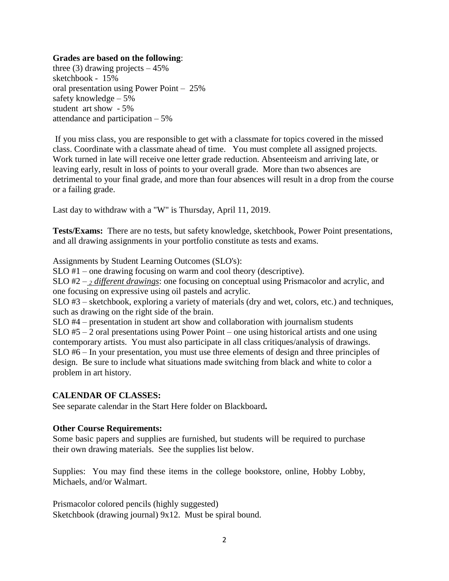#### **Grades are based on the following**:

three (3) drawing projects  $-45%$ sketchbook - 15% oral presentation using Power Point – 25% safety knowledge – 5% student art show - 5% attendance and participation – 5%

If you miss class, you are responsible to get with a classmate for topics covered in the missed class. Coordinate with a classmate ahead of time. You must complete all assigned projects. Work turned in late will receive one letter grade reduction. Absenteeism and arriving late, or leaving early, result in loss of points to your overall grade. More than two absences are detrimental to your final grade, and more than four absences will result in a drop from the course or a failing grade.

Last day to withdraw with a "W" is Thursday, April 11, 2019.

**Tests/Exams:** There are no tests, but safety knowledge, sketchbook, Power Point presentations, and all drawing assignments in your portfolio constitute as tests and exams.

Assignments by Student Learning Outcomes (SLO's):

SLO #1 – one drawing focusing on warm and cool theory (descriptive).

SLO #2 – *<sup>2</sup> different drawings*: one focusing on conceptual using Prismacolor and acrylic, and one focusing on expressive using oil pastels and acrylic.

SLO #3 – sketchbook, exploring a variety of materials (dry and wet, colors, etc.) and techniques, such as drawing on the right side of the brain.

SLO #4 – presentation in student art show and collaboration with journalism students SLO #5 – 2 oral presentations using Power Point – one using historical artists and one using contemporary artists. You must also participate in all class critiques/analysis of drawings. SLO #6 – In your presentation, you must use three elements of design and three principles of design. Be sure to include what situations made switching from black and white to color a problem in art history.

#### **CALENDAR OF CLASSES:**

See separate calendar in the Start Here folder on Blackboard**.**

#### **Other Course Requirements:**

Some basic papers and supplies are furnished, but students will be required to purchase their own drawing materials. See the supplies list below.

Supplies: You may find these items in the college bookstore, online, Hobby Lobby, Michaels, and/or Walmart.

Prismacolor colored pencils (highly suggested) Sketchbook (drawing journal) 9x12. Must be spiral bound.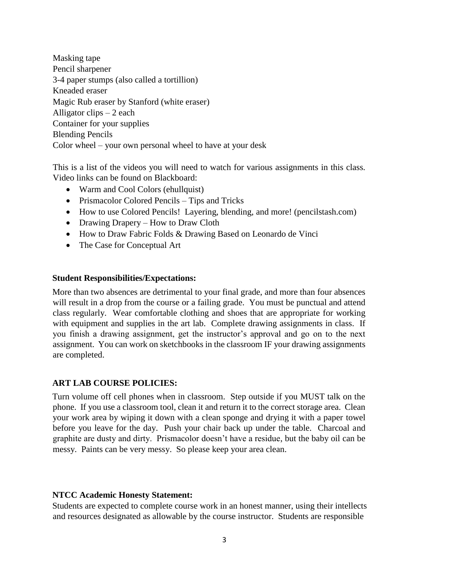Masking tape Pencil sharpener 3-4 paper stumps (also called a tortillion) Kneaded eraser Magic Rub eraser by Stanford (white eraser) Alligator clips – 2 each Container for your supplies Blending Pencils Color wheel – your own personal wheel to have at your desk

This is a list of the videos you will need to watch for various assignments in this class. Video links can be found on Blackboard:

- Warm and Cool Colors (ehullquist)
- Prismacolor Colored Pencils Tips and Tricks
- How to use Colored Pencils! Layering, blending, and more! (pencilstash.com)
- Drawing Drapery How to Draw Cloth
- How to Draw Fabric Folds & Drawing Based on Leonardo de Vinci
- The Case for Conceptual Art

#### **Student Responsibilities/Expectations:**

More than two absences are detrimental to your final grade, and more than four absences will result in a drop from the course or a failing grade. You must be punctual and attend class regularly. Wear comfortable clothing and shoes that are appropriate for working with equipment and supplies in the art lab. Complete drawing assignments in class. If you finish a drawing assignment, get the instructor's approval and go on to the next assignment. You can work on sketchbooks in the classroom IF your drawing assignments are completed.

#### **ART LAB COURSE POLICIES:**

Turn volume off cell phones when in classroom. Step outside if you MUST talk on the phone. If you use a classroom tool, clean it and return it to the correct storage area. Clean your work area by wiping it down with a clean sponge and drying it with a paper towel before you leave for the day. Push your chair back up under the table. Charcoal and graphite are dusty and dirty. Prismacolor doesn't have a residue, but the baby oil can be messy. Paints can be very messy. So please keep your area clean.

#### **NTCC Academic Honesty Statement:**

Students are expected to complete course work in an honest manner, using their intellects and resources designated as allowable by the course instructor. Students are responsible